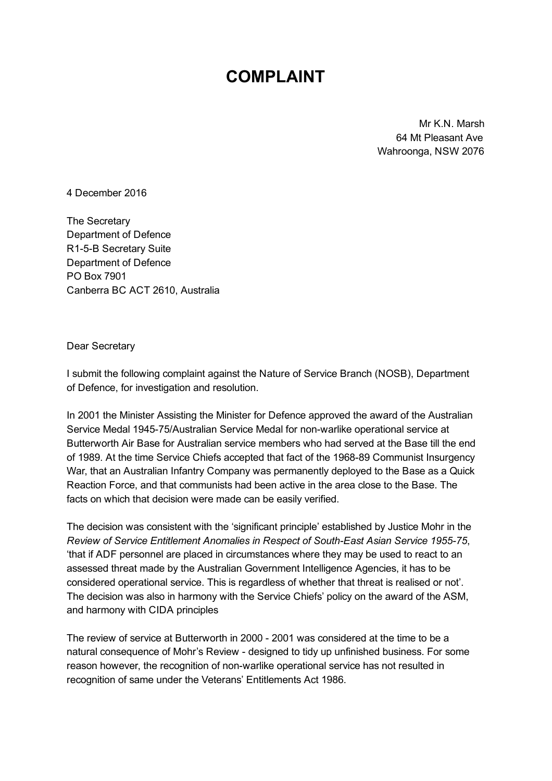# COMPLAINT

Mr K.N. Marsh 64 Mt Pleasant Ave Wahroonga, NSW 2076

4 December 2016

The Secretary Department of Defence R1-5-B Secretary Suite Department of Defence PO Box 7901 Canberra BC ACT 2610, Australia

Dear Secretary

I submit the following complaint against the Nature of Service Branch (NOSB), Department of Defence, for investigation and resolution.

In 2001 the Minister Assisting the Minister for Defence approved the award of the Australian Service Medal 1945-75/Australian Service Medal for non-warlike operational service at Butterworth Air Base for Australian service members who had served at the Base till the end of 1989. At the time Service Chiefs accepted that fact of the 1968-89 Communist Insurgency War, that an Australian Infantry Company was permanently deployed to the Base as a Quick Reaction Force, and that communists had been active in the area close to the Base. The facts on which that decision were made can be easily verified.

The decision was consistent with the 'significant principle' established by Justice Mohr in the Review of Service Entitlement Anomalies in Respect of South-East Asian Service 1955-75, 'that if ADF personnel are placed in circumstances where they may be used to react to an assessed threat made by the Australian Government Intelligence Agencies, it has to be considered operational service. This is regardless of whether that threat is realised or not'. The decision was also in harmony with the Service Chiefs' policy on the award of the ASM, and harmony with CIDA principles

The review of service at Butterworth in 2000 - 2001 was considered at the time to be a natural consequence of Mohr's Review designed to tidy up unfinished business. For some reason however, the recognition of nonwarlike operational service has not resulted in recognition of same under the Veterans' Entitlements Act 1986.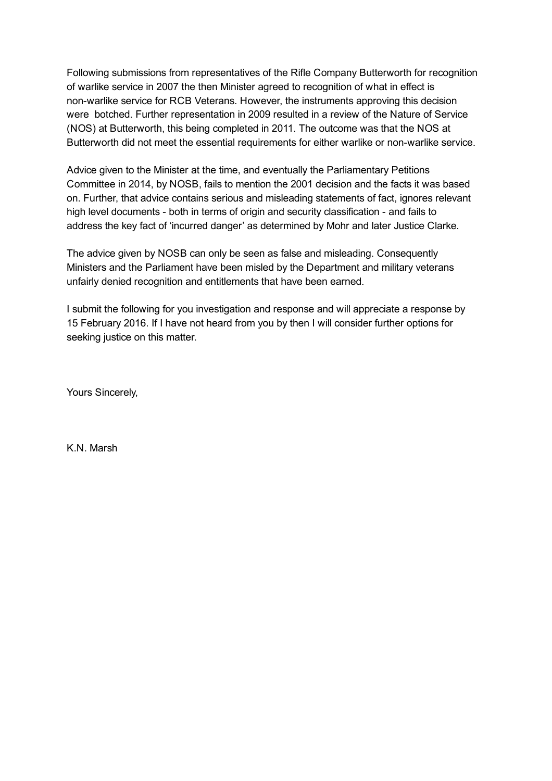Following submissions from representatives of the Rifle Company Butterworth for recognition of warlike service in 2007 the then Minister agreed to recognition of what in effect is non-warlike service for RCB Veterans. However, the instruments approving this decision were botched. Further representation in 2009 resulted in a review of the Nature of Service (NOS) at Butterworth, this being completed in 2011. The outcome was that the NOS at Butterworth did not meet the essential requirements for either warlike or nonwarlike service.

Advice given to the Minister at the time, and eventually the Parliamentary Petitions Committee in 2014, by NOSB, fails to mention the 2001 decision and the facts it was based on. Further, that advice contains serious and misleading statements of fact, ignores relevant high level documents - both in terms of origin and security classification - and fails to address the key fact of 'incurred danger' as determined by Mohr and later Justice Clarke.

The advice given by NOSB can only be seen as false and misleading. Consequently Ministers and the Parliament have been misled by the Department and military veterans unfairly denied recognition and entitlements that have been earned.

I submit the following for you investigation and response and will appreciate a response by 15 February 2016. If I have not heard from you by then I will consider further options for seeking justice on this matter.

Yours Sincerely,

K.N. Marsh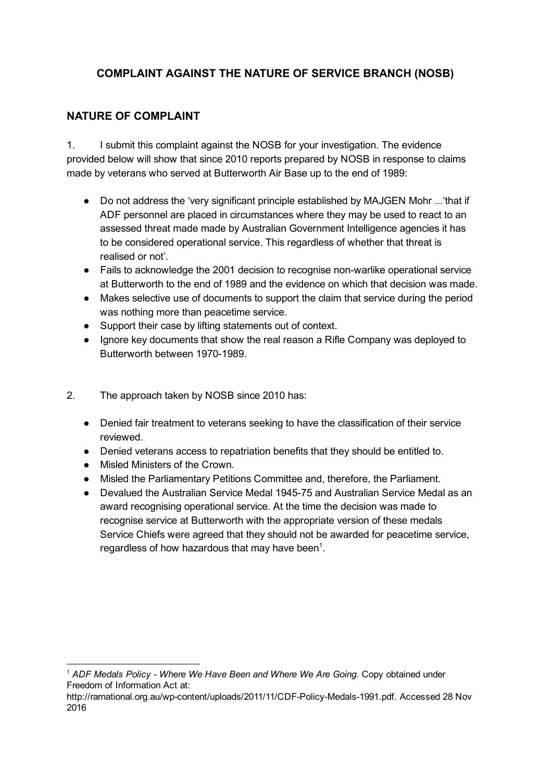# COMPLAINT AGAINST THE NATURE OF SERVICE BRANCH (NOSB)

# NATURE OF COMPLAINT

1. I submit this complaint against the NOSB for your investigation. The evidence provided below will show that since 2010 reports prepared by NOSB in response to claims made by veterans who served at Butterworth Air Base up to the end of 1989:

- Do not address the 'very significant principle established by MAJGEN Mohr ...'that if ADF personnel are placed in circumstances where they may be used to react to an assessed threat made made by Australian Government Intelligence agencies it has to be considered operational service. This regardless of whether that threat is realised or not'.
- Fails to acknowledge the 2001 decision to recognise non-warlike operational service at Butterworth to the end of 1989 and the evidence on which that decision was made.
- Makes selective use of documents to support the claim that service during the period was nothing more than peacetime service.
- Support their case by lifting statements out of context.
- Ignore key documents that show the real reason a Rifle Company was deployed to Butterworth between 1970-1989.
- 2. The approach taken by NOSB since 2010 has:
	- Denied fair treatment to veterans seeking to have the classification of their service reviewed.
	- Denied veterans access to repatriation benefits that they should be entitled to.
	- Misled Ministers of the Crown.
	- Misled the Parliamentary Petitions Committee and, therefore, the Parliament.
	- Devalued the Australian Service Medal 194575 and Australian Service Medal as an award recognising operational service. At the time the decision was made to recognise service at Butterworth with the appropriate version of these medals Service Chiefs were agreed that they should not be awarded for peacetime service, regardless of how hazardous that may have been<sup>1</sup>.

<sup>&</sup>lt;sup>1</sup> ADF Medals Policy - Where We Have Been and Where We Are Going. Copy obtained under Freedom of Information Act at:

http://rarnational.org.au/wp-content/uploads/2011/11/CDF-Policy-Medals-1991.pdf. Accessed 28 Nov 2016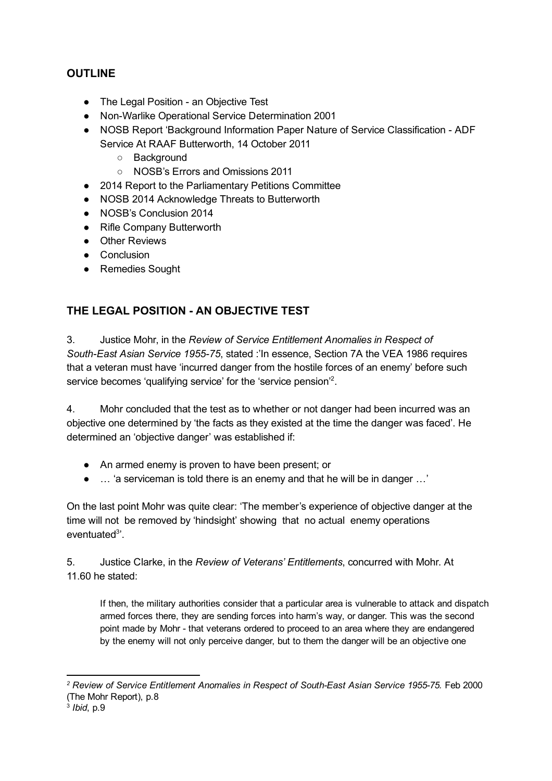# **OUTLINE**

- The Legal Position an Objective Test
- Non-Warlike Operational Service Determination 2001
- NOSB Report 'Background Information Paper Nature of Service Classification ADF Service At RAAF Butterworth, 14 October 2011
	- Background
	- NOSB's Errors and Omissions 2011
- 2014 Report to the Parliamentary Petitions Committee
- NOSB 2014 Acknowledge Threats to Butterworth
- NOSB's Conclusion 2014
- Rifle Company Butterworth
- Other Reviews
- Conclusion
- Remedies Sought

# THE LEGAL POSITION - AN OBJECTIVE TEST

3. Justice Mohr, in the Review of Service Entitlement Anomalies in Respect of South-East Asian Service 1955-75, stated :'In essence, Section 7A the VEA 1986 requires that a veteran must have 'incurred danger from the hostile forces of an enemy' before such service becomes 'qualifying service' for the 'service pension'<sup>2</sup>.

4. Mohr concluded that the test as to whether or not danger had been incurred was an objective one determined by 'the facts as they existed at the time the danger was faced'. He determined an 'objective danger' was established if:

- An armed enemy is proven to have been present; or
- … 'a serviceman is told there is an enemy and that he will be in danger …'

On the last point Mohr was quite clear: 'The member's experience of objective danger at the time will not be removed by 'hindsight' showing that no actual enemy operations eventuated<sup>3</sup>'.

5. Justice Clarke, in the Review of Veterans' Entitlements, concurred with Mohr. At 11.60 he stated:

If then, the military authorities consider that a particular area is vulnerable to attack and dispatch armed forces there, they are sending forces into harm's way, or danger. This was the second point made by Mohr - that veterans ordered to proceed to an area where they are endangered by the enemy will not only perceive danger, but to them the danger will be an objective one

 $2$  Review of Service Entitlement Anomalies in Respect of South-East Asian Service 1955-75. Feb 2000 (The Mohr Report), p.8

 $3$  Ibid, p. $9$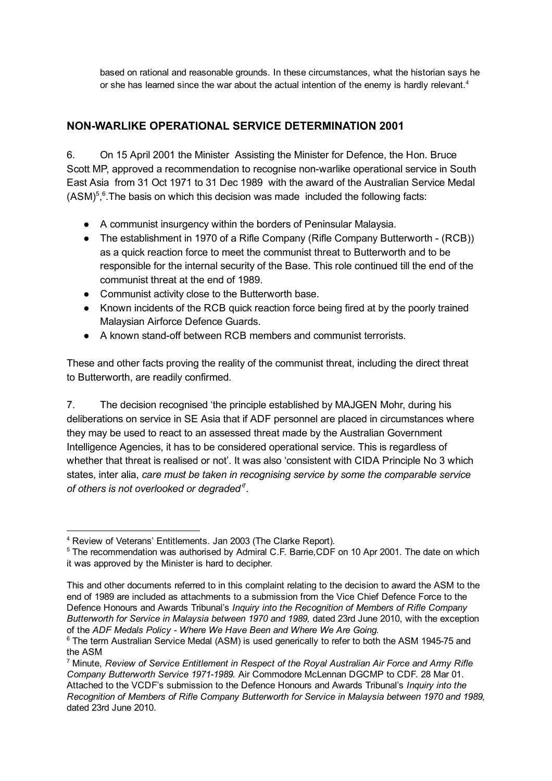based on rational and reasonable grounds. In these circumstances, what the historian says he or she has learned since the war about the actual intention of the enemy is hardly relevant.<sup>4</sup>

# NONWARLIKE OPERATIONAL SERVICE DETERMINATION 2001

6. On 15 April 2001 the Minister Assisting the Minister for Defence, the Hon. Bruce Scott MP, approved a recommendation to recognise non-warlike operational service in South East Asia from 31 Oct 1971 to 31 Dec 1989 with the award of the Australian Service Medal  $(ASM)^5$ ,  $6$ . The basis on which this decision was made included the following facts:

- A communist insurgency within the borders of Peninsular Malaysia.
- The establishment in 1970 of a Rifle Company (Rifle Company Butterworth (RCB)) as a quick reaction force to meet the communist threat to Butterworth and to be responsible for the internal security of the Base. This role continued till the end of the communist threat at the end of 1989.
- Communist activity close to the Butterworth base.
- Known incidents of the RCB quick reaction force being fired at by the poorly trained Malaysian Airforce Defence Guards.
- A known stand-off between RCB members and communist terrorists.

These and other facts proving the reality of the communist threat, including the direct threat to Butterworth, are readily confirmed.

7. The decision recognised 'the principle established by MAJGEN Mohr, during his deliberations on service in SE Asia that if ADF personnel are placed in circumstances where they may be used to react to an assessed threat made by the Australian Government Intelligence Agencies, it has to be considered operational service. This is regardless of whether that threat is realised or not'. It was also 'consistent with CIDA Principle No 3 which states, inter alia, care must be taken in recognising service by some the comparable service of others is not overlooked or degraded $7$ .

<sup>4</sup> Review of Veterans' Entitlements. Jan 2003 (The Clarke Report).

<sup>&</sup>lt;sup>5</sup> The recommendation was authorised by Admiral C.F. Barrie, CDF on 10 Apr 2001. The date on which it was approved by the Minister is hard to decipher.

This and other documents referred to in this complaint relating to the decision to award the ASM to the end of 1989 are included as attachments to a submission from the Vice Chief Defence Force to the Defence Honours and Awards Tribunal's Inquiry into the Recognition of Members of Rifle Company Butterworth for Service in Malaysia between 1970 and 1989, dated 23rd June 2010, with the exception of the ADF Medals Policy - Where We Have Been and Where We Are Going.

<sup>&</sup>lt;sup>6</sup> The term Australian Service Medal (ASM) is used generically to refer to both the ASM 1945-75 and the ASM

 $7$  Minute, Review of Service Entitlement in Respect of the Royal Australian Air Force and Army Rifle Company Butterworth Service 1971-1989. Air Commodore McLennan DGCMP to CDF, 28 Mar 01. Attached to the VCDF's submission to the Defence Honours and Awards Tribunal's *Inquiry into the* Recognition of Members of Rifle Company Butterworth for Service in Malaysia between 1970 and 1989, dated 23rd June 2010.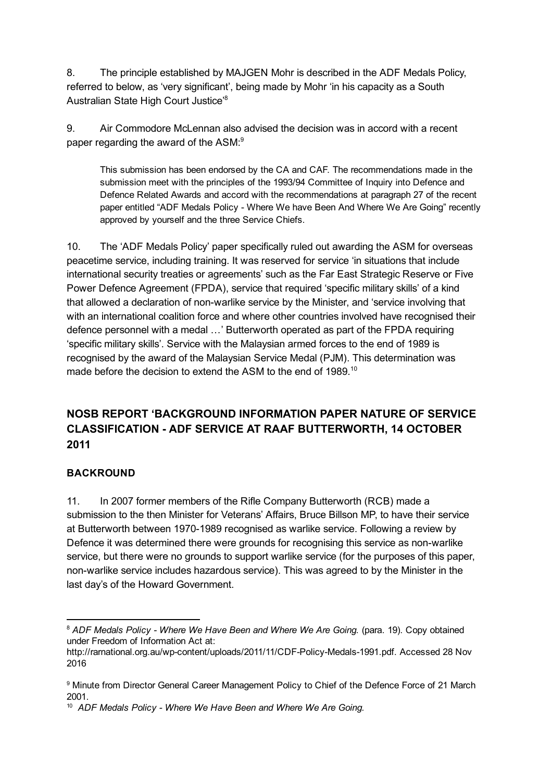8. The principle established by MAJGEN Mohr is described in the ADF Medals Policy, referred to below, as 'very significant', being made by Mohr 'in his capacity as a South Australian State High Court Justice' 8

9. Air Commodore McLennan also advised the decision was in accord with a recent paper regarding the award of the ASM:<sup>9</sup>

This submission has been endorsed by the CA and CAF. The recommendations made in the submission meet with the principles of the 1993/94 Committee of Inquiry into Defence and Defence Related Awards and accord with the recommendations at paragraph 27 of the recent paper entitled "ADF Medals Policy - Where We have Been And Where We Are Going" recently approved by yourself and the three Service Chiefs.

10. The 'ADF Medals Policy' paper specifically ruled out awarding the ASM for overseas peacetime service, including training. It was reserved for service 'in situations that include international security treaties or agreements' such as the Far East Strategic Reserve or Five Power Defence Agreement (FPDA), service that required 'specific military skills' of a kind that allowed a declaration of nonwarlike service by the Minister, and 'service involving that with an international coalition force and where other countries involved have recognised their defence personnel with a medal …' Butterworth operated as part of the FPDA requiring 'specific military skills'. Service with the Malaysian armed forces to the end of 1989 is recognised by the award of the Malaysian Service Medal (PJM). This determination was made before the decision to extend the ASM to the end of 1989.<sup>10</sup>

# NOSB REPORT 'BACKGROUND INFORMATION PAPER NATURE OF SERVICE CLASSIFICATION ADF SERVICE AT RAAF BUTTERWORTH, 14 OCTOBER 2011

#### **BACKROUND**

11. In 2007 former members of the Rifle Company Butterworth (RCB) made a submission to the then Minister for Veterans' Affairs, Bruce Billson MP, to have their service at Butterworth between 1970-1989 recognised as warlike service. Following a review by Defence it was determined there were grounds for recognising this service as non-warlike service, but there were no grounds to support warlike service (for the purposes of this paper, non-warlike service includes hazardous service). This was agreed to by the Minister in the last day's of the Howard Government.

<sup>&</sup>lt;sup>8</sup> ADF Medals Policy - Where We Have Been and Where We Are Going. (para. 19). Copy obtained under Freedom of Information Act at:

http://rarnational.org.au/wp-content/uploads/2011/11/CDF-Policy-Medals-1991.pdf. Accessed 28 Nov 2016

<sup>9</sup> Minute from Director General Career Management Policy to Chief of the Defence Force of 21 March 2001.

<sup>&</sup>lt;sup>10</sup> ADF Medals Policy - Where We Have Been and Where We Are Going.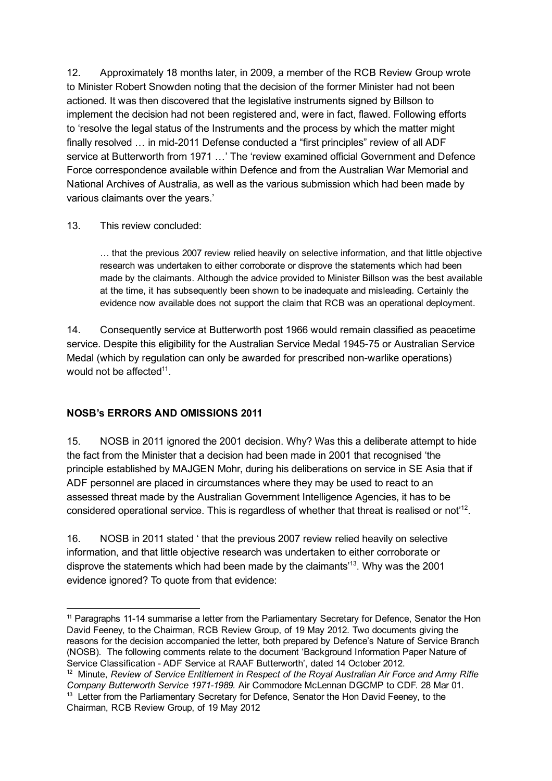12. Approximately 18 months later, in 2009, a member of the RCB Review Group wrote to Minister Robert Snowden noting that the decision of the former Minister had not been actioned. It was then discovered that the legislative instruments signed by Billson to implement the decision had not been registered and, were in fact, flawed. Following efforts to 'resolve the legal status of the Instruments and the process by which the matter might finally resolved ... in mid-2011 Defense conducted a "first principles" review of all ADF service at Butterworth from 1971 …' The 'review examined official Government and Defence Force correspondence available within Defence and from the Australian War Memorial and National Archives of Australia, as well as the various submission which had been made by various claimants over the years.'

#### 13. This review concluded:

… that the previous 2007 review relied heavily on selective information, and that little objective research was undertaken to either corroborate or disprove the statements which had been made by the claimants. Although the advice provided to Minister Billson was the best available at the time, it has subsequently been shown to be inadequate and misleading. Certainly the evidence now available does not support the claim that RCB was an operational deployment.

14. Consequently service at Butterworth post 1966 would remain classified as peacetime service. Despite this eligibility for the Australian Service Medal 1945-75 or Australian Service Medal (which by regulation can only be awarded for prescribed non-warlike operations) would not be affected $11$ .

#### NOSB's ERRORS AND OMISSIONS 2011

15. NOSB in 2011 ignored the 2001 decision. Why? Was this a deliberate attempt to hide the fact from the Minister that a decision had been made in 2001 that recognised 'the principle established by MAJGEN Mohr, during his deliberations on service in SE Asia that if ADF personnel are placed in circumstances where they may be used to react to an assessed threat made by the Australian Government Intelligence Agencies, it has to be considered operational service. This is regardless of whether that threat is realised or not<sup>12</sup>.

16. NOSB in 2011 stated ' that the previous 2007 review relied heavily on selective information, and that little objective research was undertaken to either corroborate or disprove the statements which had been made by the claimants<sup> $13$ </sup>. Why was the 2001 evidence ignored? To quote from that evidence:

<sup>&</sup>lt;sup>11</sup> Paragraphs 11-14 summarise a letter from the Parliamentary Secretary for Defence, Senator the Hon David Feeney, to the Chairman, RCB Review Group, of 19 May 2012. Two documents giving the reasons for the decision accompanied the letter, both prepared by Defence's Nature of Service Branch (NOSB). The following comments relate to the document 'Background Information Paper Nature of Service Classification - ADF Service at RAAF Butterworth', dated 14 October 2012.

<sup>&</sup>lt;sup>12</sup> Minute, Review of Service Entitlement in Respect of the Roval Australian Air Force and Army Rifle Company Butterworth Service 1971-1989. Air Commodore McLennan DGCMP to CDF, 28 Mar 01. <sup>13</sup> Letter from the Parliamentary Secretary for Defence, Senator the Hon David Feeney, to the Chairman, RCB Review Group, of 19 May 2012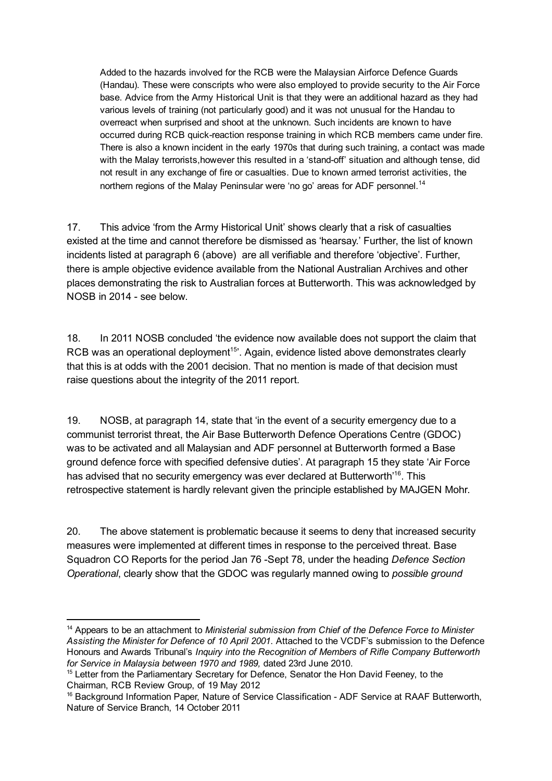Added to the hazards involved for the RCB were the Malaysian Airforce Defence Guards (Handau). These were conscripts who were also employed to provide security to the Air Force base. Advice from the Army Historical Unit is that they were an additional hazard as they had various levels of training (not particularly good) and it was not unusual for the Handau to overreact when surprised and shoot at the unknown. Such incidents are known to have occurred during RCB quickreaction response training in which RCB members came under fire. There is also a known incident in the early 1970s that during such training, a contact was made with the Malay terrorists, however this resulted in a 'stand-off' situation and although tense, did not result in any exchange of fire or casualties. Due to known armed terrorist activities, the northern regions of the Malay Peninsular were 'no go' areas for ADF personnel.<sup>14</sup>

17. This advice 'from the Army Historical Unit' shows clearly that a risk of casualties existed at the time and cannot therefore be dismissed as 'hearsay.' Further, the list of known incidents listed at paragraph 6 (above) are all verifiable and therefore 'objective'. Further, there is ample objective evidence available from the National Australian Archives and other places demonstrating the risk to Australian forces at Butterworth. This was acknowledged by NOSB in 2014 - see below.

18. In 2011 NOSB concluded 'the evidence now available does not support the claim that RCB was an operational deployment<sup>15</sup>'. Again, evidence listed above demonstrates clearly that this is at odds with the 2001 decision. That no mention is made of that decision must raise questions about the integrity of the 2011 report.

19. NOSB, at paragraph 14, state that 'in the event of a security emergency due to a communist terrorist threat, the Air Base Butterworth Defence Operations Centre (GDOC) was to be activated and all Malaysian and ADF personnel at Butterworth formed a Base ground defence force with specified defensive duties'. At paragraph 15 they state 'Air Force has advised that no security emergency was ever declared at Butterworth'<sup>16</sup>. This retrospective statement is hardly relevant given the principle established by MAJGEN Mohr.

20. The above statement is problematic because it seems to deny that increased security measures were implemented at different times in response to the perceived threat. Base Squadron CO Reports for the period Jan 76 - Sept 78, under the heading Defence Section Operational, clearly show that the GDOC was regularly manned owing to possible ground

<sup>&</sup>lt;sup>14</sup> Appears to be an attachment to Ministerial submission from Chief of the Defence Force to Minister Assisting the Minister for Defence of 10 April 2001. Attached to the VCDF's submission to the Defence Honours and Awards Tribunal's Inquiry into the Recognition of Members of Rifle Company Butterworth for Service in Malaysia between 1970 and 1989, dated 23rd June 2010.

<sup>&</sup>lt;sup>15</sup> Letter from the Parliamentary Secretary for Defence, Senator the Hon David Feeney, to the Chairman, RCB Review Group, of 19 May 2012

<sup>&</sup>lt;sup>16</sup> Background Information Paper, Nature of Service Classification - ADF Service at RAAF Butterworth, Nature of Service Branch, 14 October 2011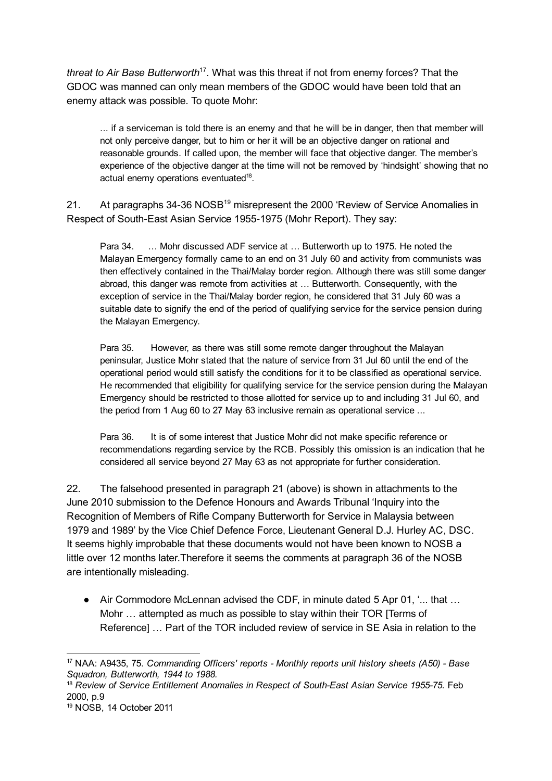threat to Air Base Butterworth<sup>17</sup>. What was this threat if not from enemy forces? That the GDOC was manned can only mean members of the GDOC would have been told that an enemy attack was possible. To quote Mohr:

... if a serviceman is told there is an enemy and that he will be in danger, then that member will not only perceive danger, but to him or her it will be an objective danger on rational and reasonable grounds. If called upon, the member will face that objective danger. The member's experience of the objective danger at the time will not be removed by 'hindsight' showing that no actual enemy operations eventuated<sup>18</sup>.

21. At paragraphs 34-36 NOSB<sup>19</sup> misrepresent the 2000 'Review of Service Anomalies in Respect of South-East Asian Service 1955-1975 (Mohr Report). They say:

Para 34. … Mohr discussed ADF service at … Butterworth up to 1975. He noted the Malayan Emergency formally came to an end on 31 July 60 and activity from communists was then effectively contained in the Thai/Malay border region. Although there was still some danger abroad, this danger was remote from activities at … Butterworth. Consequently, with the exception of service in the Thai/Malay border region, he considered that 31 July 60 was a suitable date to signify the end of the period of qualifying service for the service pension during the Malayan Emergency.

Para 35. However, as there was still some remote danger throughout the Malayan peninsular, Justice Mohr stated that the nature of service from 31 Jul 60 until the end of the operational period would still satisfy the conditions for it to be classified as operational service. He recommended that eligibility for qualifying service for the service pension during the Malayan Emergency should be restricted to those allotted for service up to and including 31 Jul 60, and the period from 1 Aug 60 to 27 May 63 inclusive remain as operational service ...

Para 36. It is of some interest that Justice Mohr did not make specific reference or recommendations regarding service by the RCB. Possibly this omission is an indication that he considered all service beyond 27 May 63 as not appropriate for further consideration.

22. The falsehood presented in paragraph 21 (above) is shown in attachments to the June 2010 submission to the Defence Honours and Awards Tribunal 'Inquiry into the Recognition of Members of Rifle Company Butterworth for Service in Malaysia between 1979 and 1989' by the Vice Chief Defence Force, Lieutenant General D.J. Hurley AC, DSC. It seems highly improbable that these documents would not have been known to NOSB a little over 12 months later.Therefore it seems the comments at paragraph 36 of the NOSB are intentionally misleading.

● Air Commodore McLennan advised the CDF, in minute dated 5 Apr 01, '... that ... Mohr … attempted as much as possible to stay within their TOR [Terms of Reference] … Part of the TOR included review of service in SE Asia in relation to the

 $17$  NAA: A9435, 75. Commanding Officers' reports  $-$  Monthly reports unit history sheets (A50)  $-$  Base Squadron, Butterworth, 1944 to 1988.

<sup>&</sup>lt;sup>18</sup> Review of Service Entitlement Anomalies in Respect of South-East Asian Service 1955-75. Feb 2000, p.9

<sup>19</sup> NOSB, 14 October 2011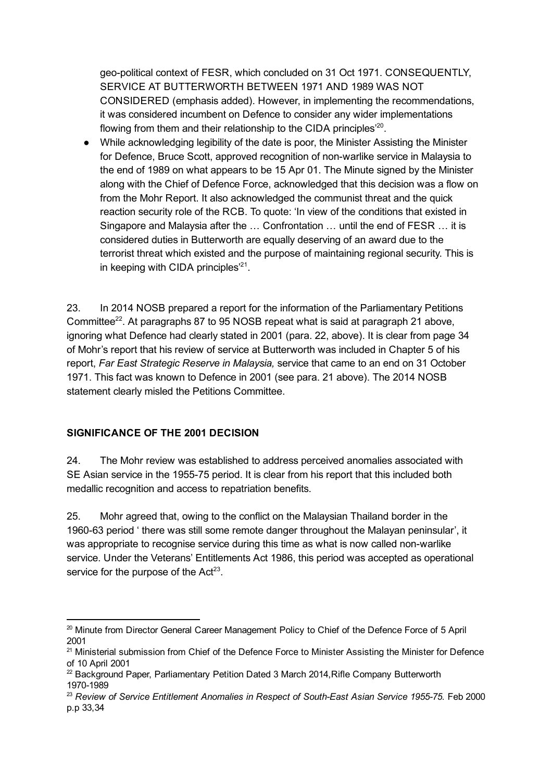geo-political context of FESR, which concluded on 31 Oct 1971. CONSEQUENTLY, SERVICE AT BUTTERWORTH BETWEEN 1971 AND 1989 WAS NOT CONSIDERED (emphasis added). However, in implementing the recommendations, it was considered incumbent on Defence to consider any wider implementations flowing from them and their relationship to the CIDA principles $^{20}$ .

● While acknowledging legibility of the date is poor, the Minister Assisting the Minister for Defence, Bruce Scott, approved recognition of non-warlike service in Malaysia to the end of 1989 on what appears to be 15 Apr 01. The Minute signed by the Minister along with the Chief of Defence Force, acknowledged that this decision was a flow on from the Mohr Report. It also acknowledged the communist threat and the quick reaction security role of the RCB. To quote: 'In view of the conditions that existed in Singapore and Malaysia after the … Confrontation … until the end of FESR … it is considered duties in Butterworth are equally deserving of an award due to the terrorist threat which existed and the purpose of maintaining regional security. This is in keeping with CIDA principles $^{21}$ .

23. In 2014 NOSB prepared a report for the information of the Parliamentary Petitions Committee<sup>22</sup>. At paragraphs 87 to 95 NOSB repeat what is said at paragraph 21 above, ignoring what Defence had clearly stated in 2001 (para. 22, above). It is clear from page 34 of Mohr's report that his review of service at Butterworth was included in Chapter 5 of his report, Far East Strategic Reserve in Malaysia, service that came to an end on 31 October 1971. This fact was known to Defence in 2001 (see para. 21 above). The 2014 NOSB statement clearly misled the Petitions Committee.

### SIGNIFICANCE OF THE 2001 DECISION

24. The Mohr review was established to address perceived anomalies associated with SE Asian service in the 1955-75 period. It is clear from his report that this included both medallic recognition and access to repatriation benefits.

25. Mohr agreed that, owing to the conflict on the Malaysian Thailand border in the 1960-63 period ' there was still some remote danger throughout the Malayan peninsular', it was appropriate to recognise service during this time as what is now called non-warlike service. Under the Veterans' Entitlements Act 1986, this period was accepted as operational service for the purpose of the  $Act^{23}$ .

<sup>&</sup>lt;sup>20</sup> Minute from Director General Career Management Policy to Chief of the Defence Force of 5 April 2001

<sup>&</sup>lt;sup>21</sup> Ministerial submission from Chief of the Defence Force to Minister Assisting the Minister for Defence of 10 April 2001

 $22$  Background Paper, Parliamentary Petition Dated 3 March 2014. Rifle Company Butterworth 1970-1989

<sup>&</sup>lt;sup>23</sup> Review of Service Entitlement Anomalies in Respect of South-East Asian Service 1955-75. Feb 2000 p.p 33,34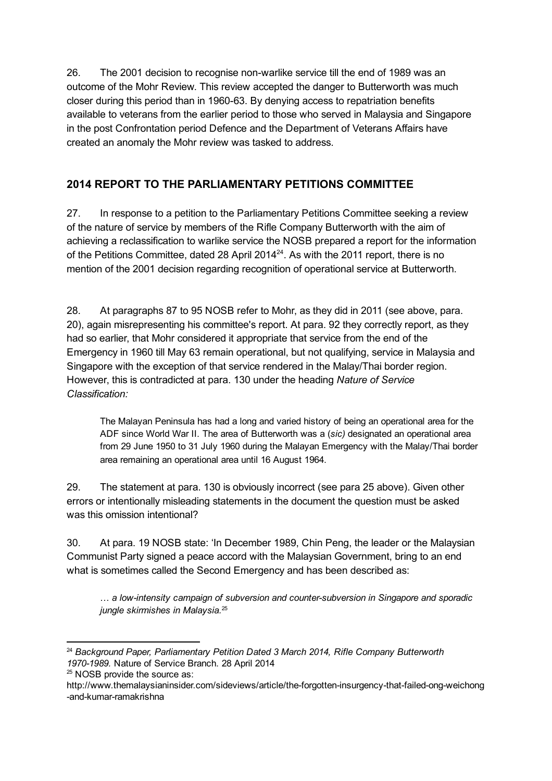26. The 2001 decision to recognise nonwarlike service till the end of 1989 was an outcome of the Mohr Review. This review accepted the danger to Butterworth was much closer during this period than in 1960-63. By denying access to repatriation benefits available to veterans from the earlier period to those who served in Malaysia and Singapore in the post Confrontation period Defence and the Department of Veterans Affairs have created an anomaly the Mohr review was tasked to address.

# 2014 REPORT TO THE PARLIAMENTARY PETITIONS COMMITTEE

27. In response to a petition to the Parliamentary Petitions Committee seeking a review of the nature of service by members of the Rifle Company Butterworth with the aim of achieving a reclassification to warlike service the NOSB prepared a report for the information of the Petitions Committee, dated 28 April 2014 $^{24}$ . As with the 2011 report, there is no mention of the 2001 decision regarding recognition of operational service at Butterworth.

28. At paragraphs 87 to 95 NOSB refer to Mohr, as they did in 2011 (see above, para. 20), again misrepresenting his committee's report. At para. 92 they correctly report, as they had so earlier, that Mohr considered it appropriate that service from the end of the Emergency in 1960 till May 63 remain operational, but not qualifying, service in Malaysia and Singapore with the exception of that service rendered in the Malay/Thai border region. However, this is contradicted at para. 130 under the heading Nature of Service Classification:

The Malayan Peninsula has had a long and varied history of being an operational area for the ADF since World War II. The area of Butterworth was a (sic) designated an operational area from 29 June 1950 to 31 July 1960 during the Malayan Emergency with the Malay/Thai border area remaining an operational area until 16 August 1964.

29. The statement at para. 130 is obviously incorrect (see para 25 above). Given other errors or intentionally misleading statements in the document the question must be asked was this omission intentional?

30. At para. 19 NOSB state: 'In December 1989, Chin Peng, the leader or the Malaysian Communist Party signed a peace accord with the Malaysian Government, bring to an end what is sometimes called the Second Emergency and has been described as:

... a low-intensity campaign of subversion and counter-subversion in Singapore and sporadic jungle skirmishes in Malaysia. 25

 $24$  Background Paper, Parliamentary Petition Dated 3 March 2014, Rifle Company Butterworth 1970-1989. Nature of Service Branch. 28 April 2014

<sup>25</sup> NOSB provide the source as:

http://www.themalaysianinsider.com/sideviews/article/the-forgotten-insurgency-that-failed-ong-weichong -and-kumar-ramakrishna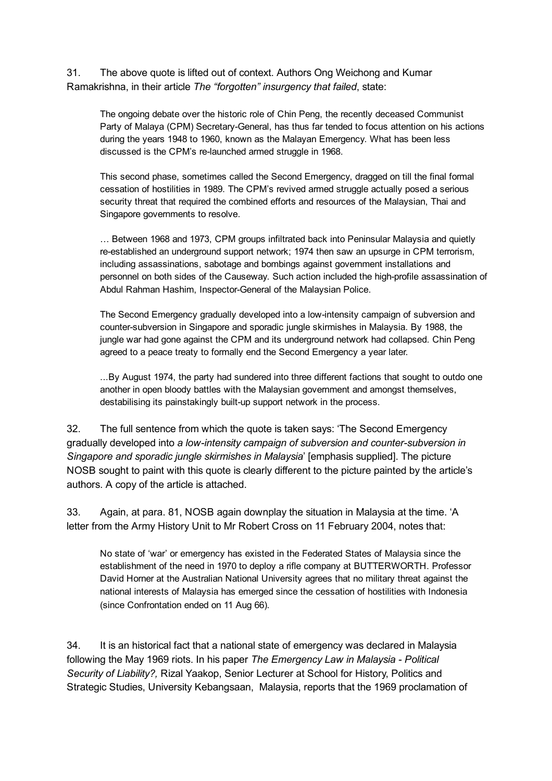31. The above quote is lifted out of context. Authors Ong Weichong and Kumar Ramakrishna, in their article The "forgotten" insurgency that failed, state:

The ongoing debate over the historic role of Chin Peng, the recently deceased Communist Party of Malaya (CPM) Secretary-General, has thus far tended to focus attention on his actions during the years 1948 to 1960, known as the Malayan Emergency. What has been less discussed is the CPM's re-launched armed struggle in 1968.

This second phase, sometimes called the Second Emergency, dragged on till the final formal cessation of hostilities in 1989. The CPM's revived armed struggle actually posed a serious security threat that required the combined efforts and resources of the Malaysian, Thai and Singapore governments to resolve.

… Between 1968 and 1973, CPM groups infiltrated back into Peninsular Malaysia and quietly re-established an underground support network; 1974 then saw an upsurge in CPM terrorism, including assassinations, sabotage and bombings against government installations and personnel on both sides of the Causeway. Such action included the high-profile assassination of Abdul Rahman Hashim, Inspector-General of the Malaysian Police.

The Second Emergency gradually developed into a low-intensity campaign of subversion and counter-subversion in Singapore and sporadic jungle skirmishes in Malaysia. By 1988, the jungle war had gone against the CPM and its underground network had collapsed. Chin Peng agreed to a peace treaty to formally end the Second Emergency a year later.

...By August 1974, the party had sundered into three different factions that sought to outdo one another in open bloody battles with the Malaysian government and amongst themselves, destabilising its painstakingly built-up support network in the process.

32. The full sentence from which the quote is taken says: 'The Second Emergency gradually developed into a low-intensity campaign of subversion and counter-subversion in Singapore and sporadic jungle skirmishes in Malaysia' [emphasis supplied]. The picture NOSB sought to paint with this quote is clearly different to the picture painted by the article's authors. A copy of the article is attached.

33. Again, at para. 81, NOSB again downplay the situation in Malaysia at the time. 'A letter from the Army History Unit to Mr Robert Cross on 11 February 2004, notes that:

No state of 'war' or emergency has existed in the Federated States of Malaysia since the establishment of the need in 1970 to deploy a rifle company at BUTTERWORTH. Professor David Horner at the Australian National University agrees that no military threat against the national interests of Malaysia has emerged since the cessation of hostilities with Indonesia (since Confrontation ended on 11 Aug 66).

34. It is an historical fact that a national state of emergency was declared in Malaysia following the May 1969 riots. In his paper The Emergency Law in Malaysia - Political Security of Liability?, Rizal Yaakop, Senior Lecturer at School for History, Politics and Strategic Studies, University Kebangsaan, Malaysia, reports that the 1969 proclamation of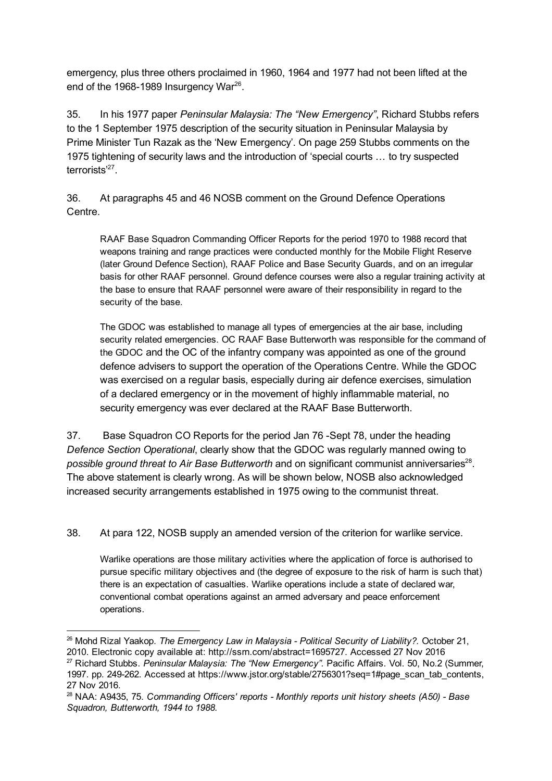emergency, plus three others proclaimed in 1960, 1964 and 1977 had not been lifted at the end of the 1968-1989 Insurgency War $^{26}$ .

35. In his 1977 paper Peninsular Malaysia: The "New Emergency", Richard Stubbs refers to the 1 September 1975 description of the security situation in Peninsular Malaysia by Prime Minister Tun Razak as the 'New Emergency'. On page 259 Stubbs comments on the 1975 tightening of security laws and the introduction of 'special courts … to try suspected terrorists'<sup>27</sup>.

36. At paragraphs 45 and 46 NOSB comment on the Ground Defence Operations Centre.

RAAF Base Squadron Commanding Officer Reports for the period 1970 to 1988 record that weapons training and range practices were conducted monthly for the Mobile Flight Reserve (later Ground Defence Section), RAAF Police and Base Security Guards, and on an irregular basis for other RAAF personnel. Ground defence courses were also a regular training activity at the base to ensure that RAAF personnel were aware of their responsibility in regard to the security of the base.

The GDOC was established to manage all types of emergencies at the air base, including security related emergencies. OC RAAF Base Butterworth was responsible for the command of the GDOC and the OC of the infantry company was appointed as one of the ground defence advisers to support the operation of the Operations Centre. While the GDOC was exercised on a regular basis, especially during air defence exercises, simulation of a declared emergency or in the movement of highly inflammable material, no security emergency was ever declared at the RAAF Base Butterworth.

37. Base Squadron CO Reports for the period Jan 76 - Sept 78, under the heading Defence Section Operational, clearly show that the GDOC was regularly manned owing to possible ground threat to Air Base Butterworth and on significant communist anniversaries<sup>28</sup>. The above statement is clearly wrong. As will be shown below, NOSB also acknowledged increased security arrangements established in 1975 owing to the communist threat.

38. At para 122, NOSB supply an amended version of the criterion for warlike service.

Warlike operations are those military activities where the application of force is authorised to pursue specific military objectives and (the degree of exposure to the risk of harm is such that) there is an expectation of casualties. Warlike operations include a state of declared war, conventional combat operations against an armed adversary and peace enforcement operations.

 $26$  Mohd Rizal Yaakop. The Emergency Law in Malaysia - Political Security of Liability?. October 21, 2010. Electronic copy available at: http://ssrn.com/abstract=1695727. Accessed 27 Nov 2016  $27$  Richard Stubbs. Peninsular Malaysia: The "New Emergency". Pacific Affairs. Vol. 50, No.2 (Summer, 1997. pp. 249-262. Accessed at https://www.jstor.org/stable/2756301?seq=1#page\_scan\_tab\_contents, 27 Nov 2016.

 $28$  NAA: A9435, 75. Commanding Officers' reports  $\overline{\phantom{a}}$  Monthly reports unit history sheets (A50) - Base Squadron, Butterworth, 1944 to 1988.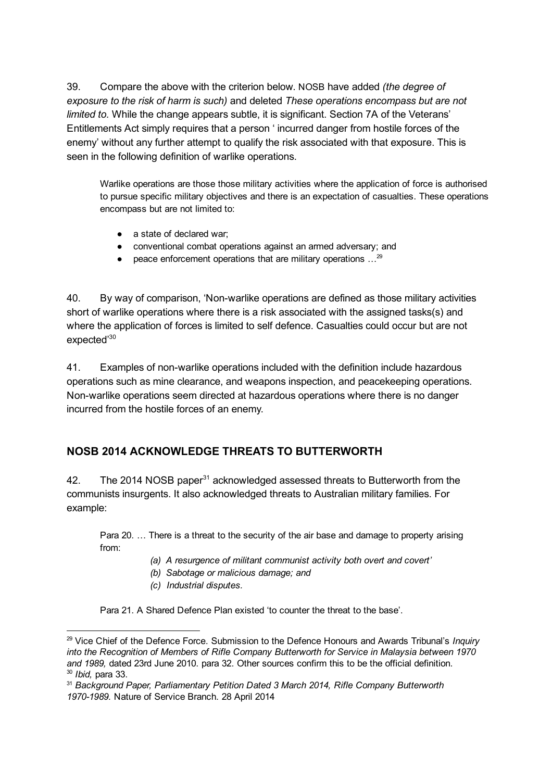39. Compare the above with the criterion below. NOSB have added (the degree of exposure to the risk of harm is such) and deleted These operations encompass but are not limited to. While the change appears subtle, it is significant. Section 7A of the Veterans' Entitlements Act simply requires that a person ' incurred danger from hostile forces of the enemy' without any further attempt to qualify the risk associated with that exposure. This is seen in the following definition of warlike operations.

Warlike operations are those those military activities where the application of force is authorised to pursue specific military objectives and there is an expectation of casualties. These operations encompass but are not limited to:

- a state of declared war:
- conventional combat operations against an armed adversary; and
- $\bullet$  peace enforcement operations that are military operations  $\ldots^{29}$

40. By way of comparison, 'Non-warlike operations are defined as those military activities short of warlike operations where there is a risk associated with the assigned tasks(s) and where the application of forces is limited to self defence. Casualties could occur but are not expected'<sup>30</sup>

41. Examples of non-warlike operations included with the definition include hazardous operations such as mine clearance, and weapons inspection, and peacekeeping operations. Non-warlike operations seem directed at hazardous operations where there is no danger incurred from the hostile forces of an enemy.

# NOSB 2014 ACKNOWLEDGE THREATS TO BUTTERWORTH

42. The 2014 NOSB paper $31$  acknowledged assessed threats to Butterworth from the communists insurgents. It also acknowledged threats to Australian military families. For example:

Para 20. … There is a threat to the security of the air base and damage to property arising from:

- (a) A resurgence of militant communist activity both overt and covert'
- (b) Sabotage or malicious damage; and
- (c) Industrial disputes.

Para 21. A Shared Defence Plan existed 'to counter the threat to the base'.

<sup>&</sup>lt;sup>29</sup> Vice Chief of the Defence Force. Submission to the Defence Honours and Awards Tribunal's Inquiry into the Recognition of Members of Rifle Company Butterworth for Service in Malaysia between 1970 and 1989, dated 23rd June 2010. para 32. Other sources confirm this to be the official definition. <sup>30</sup> Ibid, para 33.

<sup>&</sup>lt;sup>31</sup> Background Paper, Parliamentary Petition Dated 3 March 2014, Rifle Company Butterworth 1970-1989. Nature of Service Branch. 28 April 2014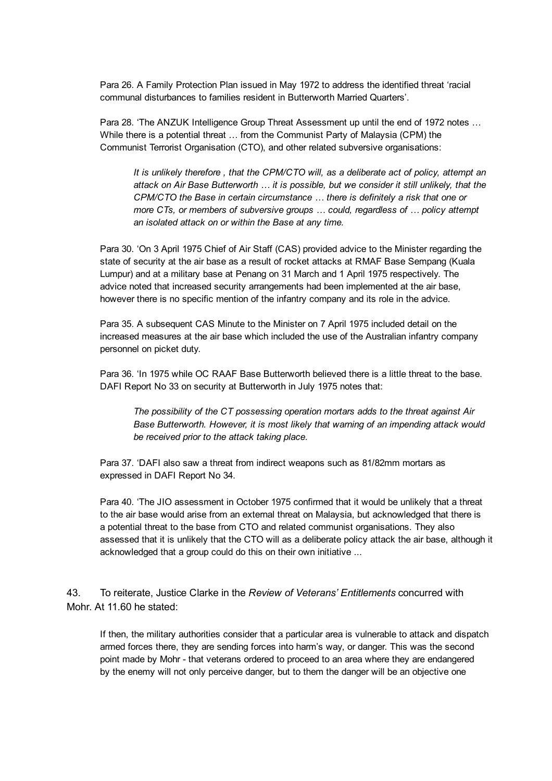Para 26. A Family Protection Plan issued in May 1972 to address the identified threat 'racial communal disturbances to families resident in Butterworth Married Quarters'.

Para 28. 'The ANZUK Intelligence Group Threat Assessment up until the end of 1972 notes … While there is a potential threat … from the Communist Party of Malaysia (CPM) the Communist Terrorist Organisation (CTO), and other related subversive organisations:

It is unlikely therefore , that the CPM/CTO will, as a deliberate act of policy, attempt an attack on Air Base Butterworth … it is possible, but we consider it still unlikely, that the CPM/CTO the Base in certain circumstance … there is definitely a risk that one or more CTs, or members of subversive groups … could, regardless of … policy attempt an isolated attack on or within the Base at any time.

Para 30. 'On 3 April 1975 Chief of Air Staff (CAS) provided advice to the Minister regarding the state of security at the air base as a result of rocket attacks at RMAF Base Sempang (Kuala Lumpur) and at a military base at Penang on 31 March and 1 April 1975 respectively. The advice noted that increased security arrangements had been implemented at the air base, however there is no specific mention of the infantry company and its role in the advice.

Para 35. A subsequent CAS Minute to the Minister on 7 April 1975 included detail on the increased measures at the air base which included the use of the Australian infantry company personnel on picket duty.

Para 36. 'In 1975 while OC RAAF Base Butterworth believed there is a little threat to the base. DAFI Report No 33 on security at Butterworth in July 1975 notes that:

The possibility of the CT possessing operation mortars adds to the threat against Air Base Butterworth. However, it is most likely that warning of an impending attack would be received prior to the attack taking place.

Para 37. 'DAFI also saw a threat from indirect weapons such as 81/82mm mortars as expressed in DAFI Report No 34.

Para 40. 'The JIO assessment in October 1975 confirmed that it would be unlikely that a threat to the air base would arise from an external threat on Malaysia, but acknowledged that there is a potential threat to the base from CTO and related communist organisations. They also assessed that it is unlikely that the CTO will as a deliberate policy attack the air base, although it acknowledged that a group could do this on their own initiative ...

43. To reiterate, Justice Clarke in the Review of Veterans' Entitlements concurred with Mohr. At 11.60 he stated:

If then, the military authorities consider that a particular area is vulnerable to attack and dispatch armed forces there, they are sending forces into harm's way, or danger. This was the second point made by Mohr - that veterans ordered to proceed to an area where they are endangered by the enemy will not only perceive danger, but to them the danger will be an objective one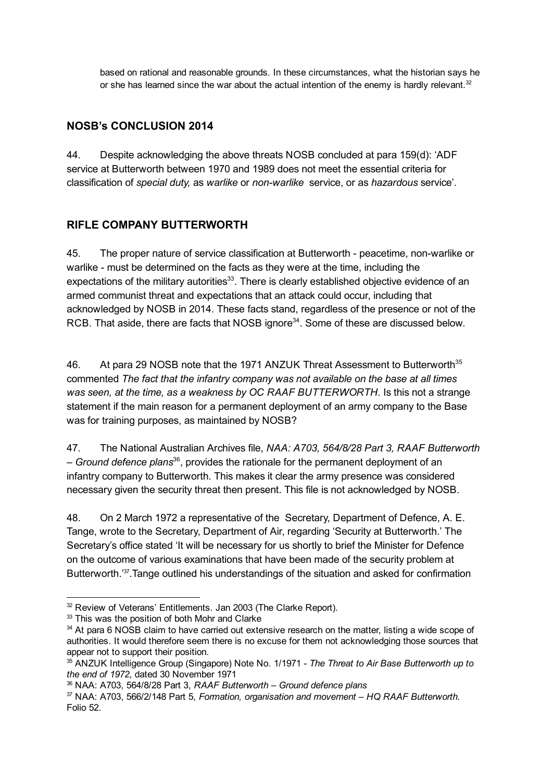based on rational and reasonable grounds. In these circumstances, what the historian says he or she has learned since the war about the actual intention of the enemy is hardly relevant. $32$ 

## NOSB's CONCLUSION 2014

44. Despite acknowledging the above threats NOSB concluded at para 159(d): 'ADF service at Butterworth between 1970 and 1989 does not meet the essential criteria for classification of special duty, as warlike or nonwarlike service, or as hazardous service'.

# RIFLE COMPANY BUTTERWORTH

45. The proper nature of service classification at Butterworth - peacetime, non-warlike or warlike - must be determined on the facts as they were at the time, including the expectations of the military autorities<sup>33</sup>. There is clearly established objective evidence of an armed communist threat and expectations that an attack could occur, including that acknowledged by NOSB in 2014. These facts stand, regardless of the presence or not of the RCB. That aside, there are facts that NOSB ignore<sup>34</sup>. Some of these are discussed below.

46. At para 29 NOSB note that the 1971 ANZUK Threat Assessment to Butterworth<sup>35</sup> commented The fact that the infantry company was not available on the base at all times was seen, at the time, as a weakness by OC RAAF BUTTERWORTH. Is this not a strange statement if the main reason for a permanent deployment of an army company to the Base was for training purposes, as maintained by NOSB?

47. The National Australian Archives file, NAA: A703, 564/8/28 Part 3, RAAF Butterworth  $-$  Ground defence plans $^{36}$ , provides the rationale for the permanent deployment of an infantry company to Butterworth. This makes it clear the army presence was considered necessary given the security threat then present. This file is not acknowledged by NOSB.

48. On 2 March 1972 a representative of the Secretary, Department of Defence, A. E. Tange, wrote to the Secretary, Department of Air, regarding 'Security at Butterworth.' The Secretary's office stated 'It will be necessary for us shortly to brief the Minister for Defence on the outcome of various examinations that have been made of the security problem at Butterworth.'<sup>37</sup>. Tange outlined his understandings of the situation and asked for confirmation

<sup>&</sup>lt;sup>32</sup> Review of Veterans' Entitlements. Jan 2003 (The Clarke Report).

<sup>&</sup>lt;sup>33</sup> This was the position of both Mohr and Clarke

<sup>&</sup>lt;sup>34</sup> At para 6 NOSB claim to have carried out extensive research on the matter, listing a wide scope of authorities. It would therefore seem there is no excuse for them not acknowledging those sources that appear not to support their position.

<sup>&</sup>lt;sup>35</sup> ANZUK Intelligence Group (Singapore) Note No. 1/1971 - The Threat to Air Base Butterworth up to the end of 1972, dated 30 November 1971

<sup>36</sup> NAA: A703, 564/8/28 Part 3, RAAF Butterworth – Ground defence plans

<sup>&</sup>lt;sup>37</sup> NAA: A703, 566/2/148 Part 5, Formation, organisation and movement – HQ RAAF Butterworth. Folio 52.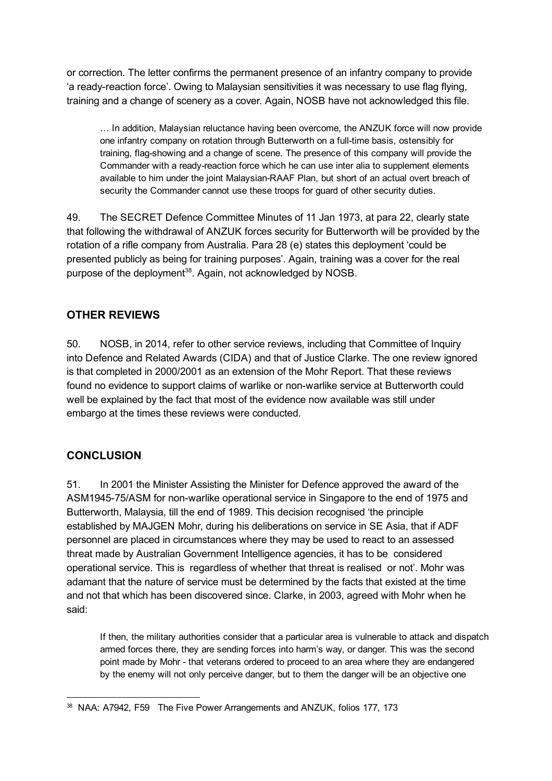or correction. The letter confirms the permanent presence of an infantry company to provide 'a ready-reaction force'. Owing to Malaysian sensitivities it was necessary to use flag flying, training and a change of scenery as a cover. Again, NOSB have not acknowledged this file.

… In addition, Malaysian reluctance having been overcome, the ANZUK force will now provide one infantry company on rotation through Butterworth on a full-time basis, ostensibly for training, flag-showing and a change of scene. The presence of this company will provide the Commander with a readyreaction force which he can use inter alia to supplement elements available to him under the joint Malaysian-RAAF Plan, but short of an actual overt breach of security the Commander cannot use these troops for guard of other security duties.

49. The SECRET Defence Committee Minutes of 11 Jan 1973, at para 22, clearly state that following the withdrawal of ANZUK forces security for Butterworth will be provided by the rotation of a rifle company from Australia. Para 28 (e) states this deployment 'could be presented publicly as being for training purposes'. Again, training was a cover for the real purpose of the deployment<sup>38</sup>. Again, not acknowledged by NOSB.

### OTHER REVIEWS

50. NOSB, in 2014, refer to other service reviews, including that Committee of Inquiry into Defence and Related Awards (CIDA) and that of Justice Clarke. The one review ignored is that completed in 2000/2001 as an extension of the Mohr Report. That these reviews found no evidence to support claims of warlike or non-warlike service at Butterworth could well be explained by the fact that most of the evidence now available was still under embargo at the times these reviews were conducted.

### **CONCLUSION**

51. In 2001 the Minister Assisting the Minister for Defence approved the award of the ASM1945-75/ASM for non-warlike operational service in Singapore to the end of 1975 and Butterworth, Malaysia, till the end of 1989. This decision recognised 'the principle established by MAJGEN Mohr, during his deliberations on service in SE Asia, that if ADF personnel are placed in circumstances where they may be used to react to an assessed threat made by Australian Government Intelligence agencies, it has to be considered operational service. This is regardless of whether that threat is realised or not'. Mohr was adamant that the nature of service must be determined by the facts that existed at the time and not that which has been discovered since. Clarke, in 2003, agreed with Mohr when he said:

If then, the military authorities consider that a particular area is vulnerable to attack and dispatch armed forces there, they are sending forces into harm's way, or danger. This was the second point made by Mohr - that veterans ordered to proceed to an area where they are endangered by the enemy will not only perceive danger, but to them the danger will be an objective one

<sup>38</sup> NAA: A7942, F59 The Five Power Arrangements and ANZUK, folios 177, 173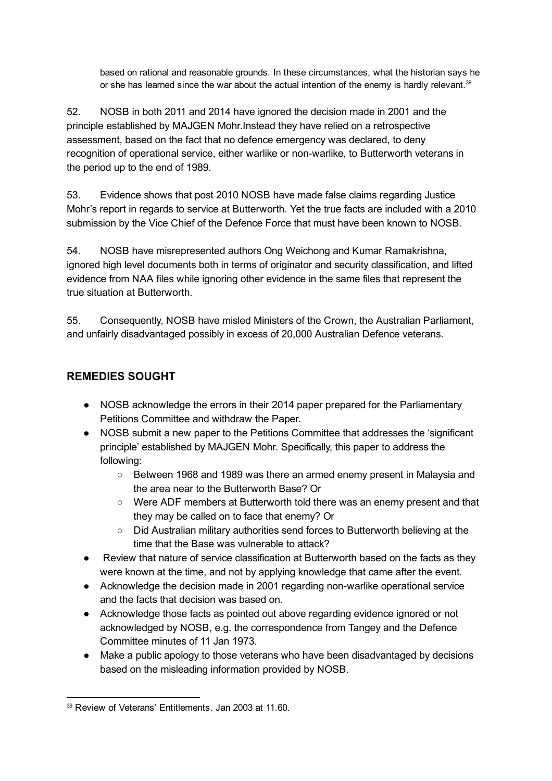based on rational and reasonable grounds. In these circumstances, what the historian says he or she has learned since the war about the actual intention of the enemy is hardly relevant. $39$ 

52. NOSB in both 2011 and 2014 have ignored the decision made in 2001 and the principle established by MAJGEN Mohr.Instead they have relied on a retrospective assessment, based on the fact that no defence emergency was declared, to deny recognition of operational service, either warlike or non-warlike, to Butterworth veterans in the period up to the end of 1989.

53. Evidence shows that post 2010 NOSB have made false claims regarding Justice Mohr's report in regards to service at Butterworth. Yet the true facts are included with a 2010 submission by the Vice Chief of the Defence Force that must have been known to NOSB.

54. NOSB have misrepresented authors Ong Weichong and Kumar Ramakrishna, ignored high level documents both in terms of originator and security classification, and lifted evidence from NAA files while ignoring other evidence in the same files that represent the true situation at Butterworth.

55. Consequently, NOSB have misled Ministers of the Crown, the Australian Parliament, and unfairly disadvantaged possibly in excess of 20,000 Australian Defence veterans.

# REMEDIES SOUGHT

- NOSB acknowledge the errors in their 2014 paper prepared for the Parliamentary Petitions Committee and withdraw the Paper.
- NOSB submit a new paper to the Petitions Committee that addresses the 'significant principle' established by MAJGEN Mohr. Specifically, this paper to address the following:
	- Between 1968 and 1989 was there an armed enemy present in Malaysia and the area near to the Butterworth Base? Or
	- Were ADF members at Butterworth told there was an enemy present and that they may be called on to face that enemy? Or
	- Did Australian military authorities send forces to Butterworth believing at the time that the Base was vulnerable to attack?
- Review that nature of service classification at Butterworth based on the facts as they were known at the time, and not by applying knowledge that came after the event.
- Acknowledge the decision made in 2001 regarding nonwarlike operational service and the facts that decision was based on.
- Acknowledge those facts as pointed out above regarding evidence ignored or not acknowledged by NOSB, e.g. the correspondence from Tangey and the Defence Committee minutes of 11 Jan 1973.
- Make a public apology to those veterans who have been disadvantaged by decisions based on the misleading information provided by NOSB.

<sup>39</sup> Review of Veterans' Entitlements. Jan 2003 at 11.60.